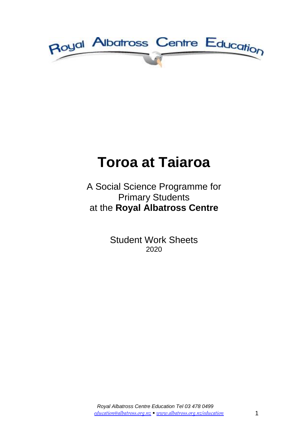

# **Toroa at Taiaroa**

## A Social Science Programme for Primary Students at the **Royal Albatross Centre**

Student Work Sheets 2020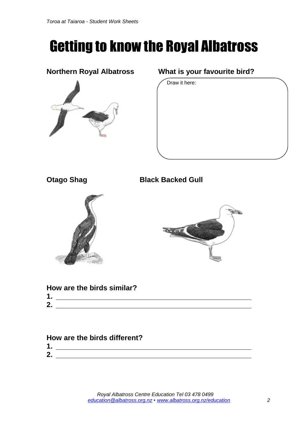# Getting to know the Royal Albatross



#### **Northern Royal Albatross What is your favourite bird?**

Draw it here:



**Otago Shag Black Backed Gull**





|    |  | How are the birds similar? |  |
|----|--|----------------------------|--|
| 1. |  |                            |  |
| 2. |  |                            |  |

| ,我们的人们就会在这里,我们的人们就会在这里,我们的人们就会在这里,我们的人们就会在这里,我们的人们就会在这里,我们的人们就会在这里,我们的人们就会在这里,我们 |  |  |  |
|----------------------------------------------------------------------------------|--|--|--|
|                                                                                  |  |  |  |

### **How are the birds different?**

| ℯ<br>-- |  |
|---------|--|
|         |  |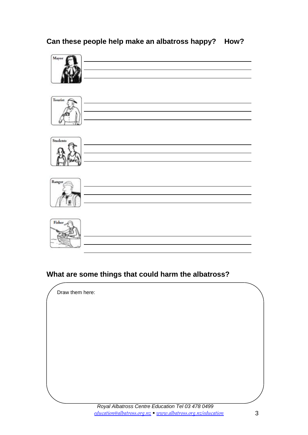#### **Can these people help make an albatross happy? How?**



### **What are some things that could harm the albatross?**

Draw them here: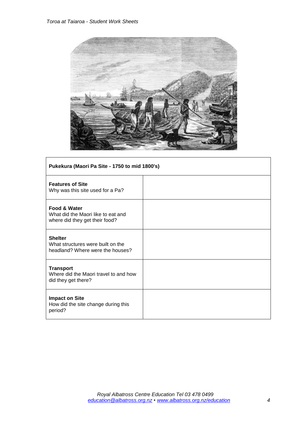

| Pukekura (Maori Pa Site - 1750 to mid 1800's)                                                   |  |  |
|-------------------------------------------------------------------------------------------------|--|--|
| <b>Features of Site</b><br>Why was this site used for a Pa?                                     |  |  |
| <b>Food &amp; Water</b><br>What did the Maori like to eat and<br>where did they get their food? |  |  |
| <b>Shelter</b><br>What structures were built on the<br>headland? Where were the houses?         |  |  |
| <b>Transport</b><br>Where did the Maori travel to and how<br>did they get there?                |  |  |
| <b>Impact on Site</b><br>How did the site change during this<br>period?                         |  |  |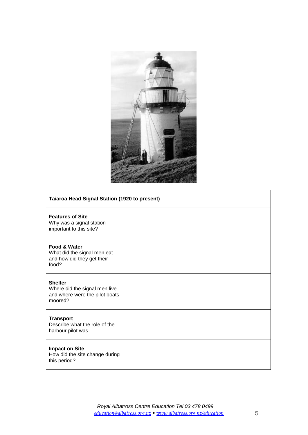

| <b>Taiaroa Head Signal Station (1920 to present)</b>                                          |  |  |
|-----------------------------------------------------------------------------------------------|--|--|
| <b>Features of Site</b><br>Why was a signal station<br>important to this site?                |  |  |
| <b>Food &amp; Water</b><br>What did the signal men eat<br>and how did they get their<br>food? |  |  |
| <b>Shelter</b><br>Where did the signal men live<br>and where were the pilot boats<br>moored?  |  |  |
| <b>Transport</b><br>Describe what the role of the<br>harbour pilot was.                       |  |  |
| <b>Impact on Site</b><br>How did the site change during<br>this period?                       |  |  |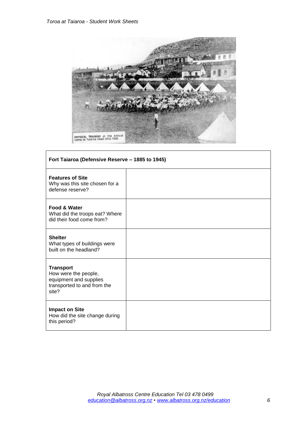

| Fort Taiaroa (Defensive Reserve - 1885 to 1945)                                                            |  |  |
|------------------------------------------------------------------------------------------------------------|--|--|
| <b>Features of Site</b><br>Why was this site chosen for a<br>defense reserve?                              |  |  |
| Food & Water<br>What did the troops eat? Where<br>did their food come from?                                |  |  |
| <b>Shelter</b><br>What types of buildings were<br>built on the headland?                                   |  |  |
| <b>Transport</b><br>How were the people,<br>equipment and supplies<br>transported to and from the<br>site? |  |  |
| <b>Impact on Site</b><br>How did the site change during<br>this period?                                    |  |  |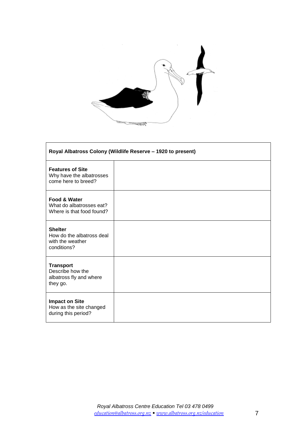

 $\mathbf{r}$ 

| Royal Albatross Colony (Wildlife Reserve - 1920 to present)                    |  |  |  |
|--------------------------------------------------------------------------------|--|--|--|
| <b>Features of Site</b><br>Why have the albatrosses<br>come here to breed?     |  |  |  |
| Food & Water<br>What do albatrosses eat?<br>Where is that food found?          |  |  |  |
| <b>Shelter</b><br>How do the albatross deal<br>with the weather<br>conditions? |  |  |  |
| <b>Transport</b><br>Describe how the<br>albatross fly and where<br>they go.    |  |  |  |
| <b>Impact on Site</b><br>How as the site changed<br>during this period?        |  |  |  |

h